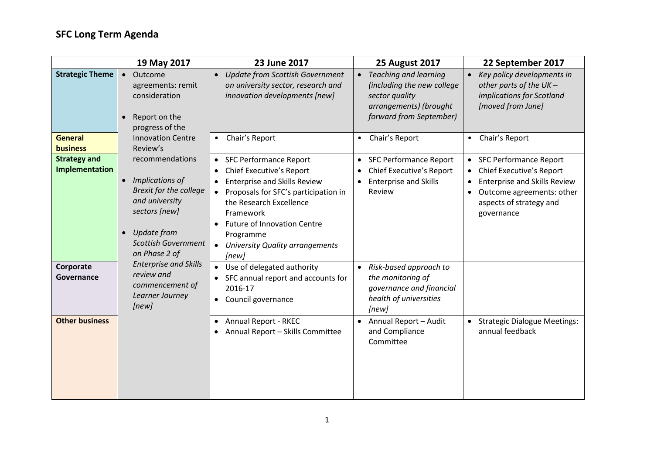## **SFC Long Term Agenda**

|                                       | 19 May 2017                                                                                                                                                                                    | 23 June 2017                                                                                                                                                                                                                                                                                                                  | <b>25 August 2017</b>                                                                                                                          | 22 September 2017                                                                                                                                                                                                    |
|---------------------------------------|------------------------------------------------------------------------------------------------------------------------------------------------------------------------------------------------|-------------------------------------------------------------------------------------------------------------------------------------------------------------------------------------------------------------------------------------------------------------------------------------------------------------------------------|------------------------------------------------------------------------------------------------------------------------------------------------|----------------------------------------------------------------------------------------------------------------------------------------------------------------------------------------------------------------------|
| <b>Strategic Theme</b>                | Outcome<br>$\bullet$<br>agreements: remit<br>consideration<br>Report on the<br>$\bullet$<br>progress of the                                                                                    | <b>Update from Scottish Government</b><br>$\bullet$<br>on university sector, research and<br>innovation developments [new]                                                                                                                                                                                                    | <b>Teaching and learning</b><br>$\bullet$<br>(including the new college<br>sector quality<br>arrangements) (brought<br>forward from September) | Key policy developments in<br>other parts of the $UK -$<br>implications for Scotland<br>[moved from June]                                                                                                            |
| <b>General</b><br><b>business</b>     | <b>Innovation Centre</b><br>Review's                                                                                                                                                           | Chair's Report                                                                                                                                                                                                                                                                                                                | Chair's Report<br>$\bullet$                                                                                                                    | Chair's Report<br>$\bullet$                                                                                                                                                                                          |
| <b>Strategy and</b><br>Implementation | recommendations<br>Implications of<br>$\bullet$<br>Brexit for the college<br>and university<br>sectors [new]<br><b>Update from</b><br>$\bullet$<br><b>Scottish Government</b><br>on Phase 2 of | <b>SFC Performance Report</b><br>$\bullet$<br><b>Chief Executive's Report</b><br>$\bullet$<br><b>Enterprise and Skills Review</b><br>Proposals for SFC's participation in<br>the Research Excellence<br>Framework<br><b>Future of Innovation Centre</b><br>Programme<br>University Quality arrangements<br>$\bullet$<br>[new] | <b>SFC Performance Report</b><br>$\bullet$<br>Chief Executive's Report<br><b>Enterprise and Skills</b><br>Review                               | <b>SFC Performance Report</b><br>$\bullet$<br><b>Chief Executive's Report</b><br><b>Enterprise and Skills Review</b><br>$\bullet$<br>Outcome agreements: other<br>$\bullet$<br>aspects of strategy and<br>governance |
| Corporate<br>Governance               | <b>Enterprise and Skills</b><br>review and<br>commencement of<br>Learner Journey<br>[new]                                                                                                      | Use of delegated authority<br>SFC annual report and accounts for<br>2016-17<br>Council governance<br>$\bullet$                                                                                                                                                                                                                | Risk-based approach to<br>$\bullet$<br>the monitoring of<br>governance and financial<br>health of universities<br>[new]                        |                                                                                                                                                                                                                      |
| <b>Other business</b>                 |                                                                                                                                                                                                | <b>Annual Report - RKEC</b><br>٠<br>Annual Report - Skills Committee                                                                                                                                                                                                                                                          | Annual Report - Audit<br>$\bullet$<br>and Compliance<br>Committee                                                                              | • Strategic Dialogue Meetings:<br>annual feedback                                                                                                                                                                    |